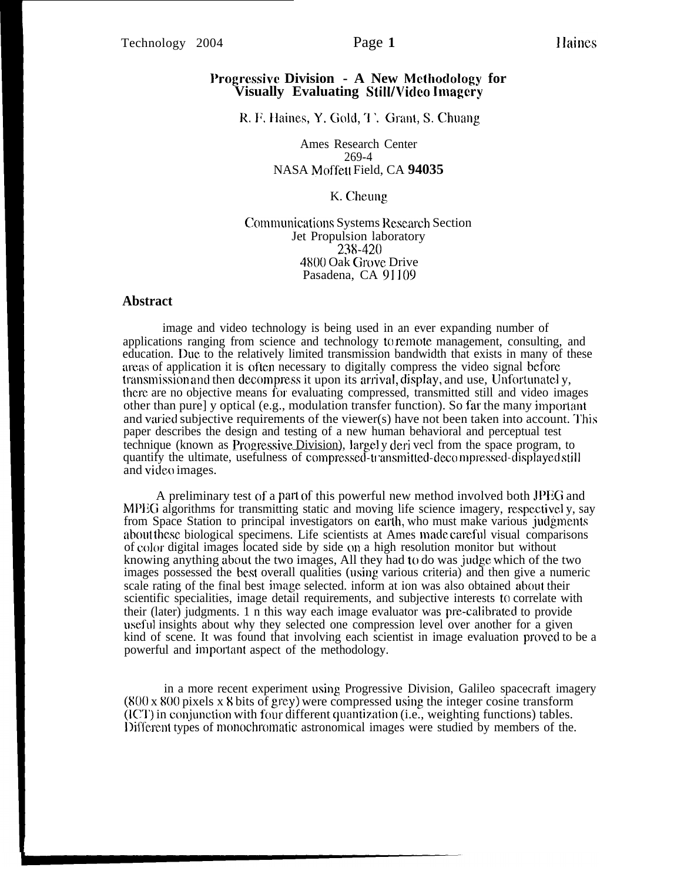## **l'rogressivc Division - A New Methoclology for Visually Evaluating Still/Vicleo lmagcry**

R. F. Haines, Y. Gold, T. Grant, S. Chuang

Ames Research Center 269-4 NASA Moffett Field, CA **94035**

#### K. Cheung

Communications Systems Research Section Jet Propulsion laboratory **23%420 4800** Oak Grove Drive Pasadena, CA 91109

### **Abstract**

image and video technology is being used in an ever expanding number of applications ranging from science and technology to remote management, consulting, and education. Due to the relatively limited transmission bandwidth that exists in many of these areas of application it is often necessary to digitally compress the video signal before transmission and then decompress it upon its arrival, display, and use, Unfortunately, there are no objective means for evaluating compressed, transmitted still and video images other than pure] y optical (e.g., modulation transfer function). So far the many important and varied subjective requirements of the viewer(s) have not been taken into account. 'l'his paper describes the design and testing of a new human behavioral and perceptual test technique (known as Progressive Division), largely deri vecl from the space program, to quantify the ultimate, usefulness of compressed-transmitted-decompressed-displayed still and video images.

A preliminary test of a part of this powerful new method involved both JPEG and MPEG algorithms for transmitting static and moving life science imagery, respectivel y, say from Space Station to principal investigators on eatlh, who must make various judgments about these biological specimens. Life scientists at Ames made, careful visual comparisons of color digital images located side by side on a high resolution monitor but without knowing anything about the two images, All they had to do was judge which of the two images possessed the best overall qualities (using various criteria) and then give a numeric scale rating of the final best image selected. inform at ion was also obtained about their scientific specialities, image detail requirements, and subjective interests to correlate with their (later) judgments. 1 n this way each image evaluator was pre-calibrated to provide useful insights about why they selected one compression level over another for a given kind of scene. It was found that involving each scientist in image evaluation provecl to be a powerful and important aspect of the methodology.

in a more recent experiment using Progressive Division, Galileo spacecraft imagery  $(800 \times 800)$  pixels x 8 bits of grey) were compressed using the integer cosine transform  $(10^{\circ}C)$  in conjunction with four different quantization (i.e., weighting functions) tables. Different types of monochromatic astronomical images were studied by members of the.